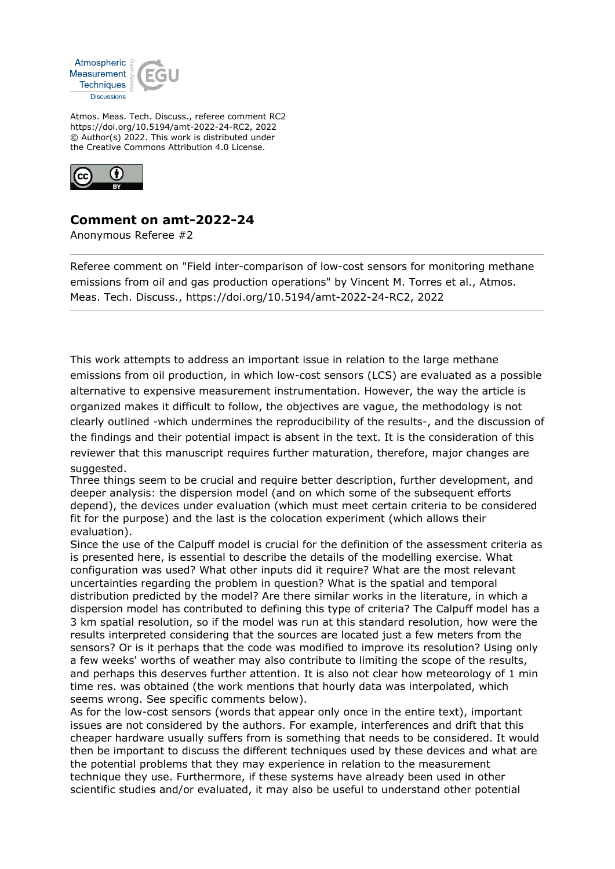

Atmos. Meas. Tech. Discuss., referee comment RC2 https://doi.org/10.5194/amt-2022-24-RC2, 2022 © Author(s) 2022. This work is distributed under the Creative Commons Attribution 4.0 License.



## **Comment on amt-2022-24**

Anonymous Referee #2

Referee comment on "Field inter-comparison of low-cost sensors for monitoring methane emissions from oil and gas production operations" by Vincent M. Torres et al., Atmos. Meas. Tech. Discuss., https://doi.org/10.5194/amt-2022-24-RC2, 2022

This work attempts to address an important issue in relation to the large methane emissions from oil production, in which low-cost sensors (LCS) are evaluated as a possible alternative to expensive measurement instrumentation. However, the way the article is organized makes it difficult to follow, the objectives are vague, the methodology is not clearly outlined -which undermines the reproducibility of the results-, and the discussion of the findings and their potential impact is absent in the text. It is the consideration of this reviewer that this manuscript requires further maturation, therefore, major changes are suggested.

Three things seem to be crucial and require better description, further development, and deeper analysis: the dispersion model (and on which some of the subsequent efforts depend), the devices under evaluation (which must meet certain criteria to be considered fit for the purpose) and the last is the colocation experiment (which allows their evaluation).

Since the use of the Calpuff model is crucial for the definition of the assessment criteria as is presented here, is essential to describe the details of the modelling exercise. What configuration was used? What other inputs did it require? What are the most relevant uncertainties regarding the problem in question? What is the spatial and temporal distribution predicted by the model? Are there similar works in the literature, in which a dispersion model has contributed to defining this type of criteria? The Calpuff model has a 3 km spatial resolution, so if the model was run at this standard resolution, how were the results interpreted considering that the sources are located just a few meters from the sensors? Or is it perhaps that the code was modified to improve its resolution? Using only a few weeks' worths of weather may also contribute to limiting the scope of the results, and perhaps this deserves further attention. It is also not clear how meteorology of 1 min time res. was obtained (the work mentions that hourly data was interpolated, which seems wrong. See specific comments below).

As for the low-cost sensors (words that appear only once in the entire text), important issues are not considered by the authors. For example, interferences and drift that this cheaper hardware usually suffers from is something that needs to be considered. It would then be important to discuss the different techniques used by these devices and what are the potential problems that they may experience in relation to the measurement technique they use. Furthermore, if these systems have already been used in other scientific studies and/or evaluated, it may also be useful to understand other potential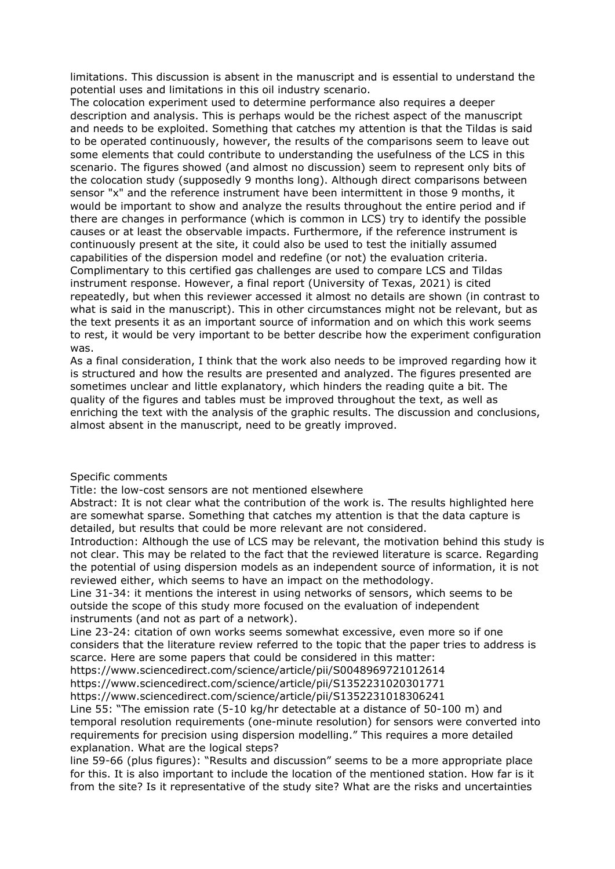limitations. This discussion is absent in the manuscript and is essential to understand the potential uses and limitations in this oil industry scenario.

The colocation experiment used to determine performance also requires a deeper description and analysis. This is perhaps would be the richest aspect of the manuscript and needs to be exploited. Something that catches my attention is that the Tildas is said to be operated continuously, however, the results of the comparisons seem to leave out some elements that could contribute to understanding the usefulness of the LCS in this scenario. The figures showed (and almost no discussion) seem to represent only bits of the colocation study (supposedly 9 months long). Although direct comparisons between sensor "x" and the reference instrument have been intermittent in those 9 months, it would be important to show and analyze the results throughout the entire period and if there are changes in performance (which is common in LCS) try to identify the possible causes or at least the observable impacts. Furthermore, if the reference instrument is continuously present at the site, it could also be used to test the initially assumed capabilities of the dispersion model and redefine (or not) the evaluation criteria. Complimentary to this certified gas challenges are used to compare LCS and Tildas instrument response. However, a final report (University of Texas, 2021) is cited repeatedly, but when this reviewer accessed it almost no details are shown (in contrast to what is said in the manuscript). This in other circumstances might not be relevant, but as the text presents it as an important source of information and on which this work seems to rest, it would be very important to be better describe how the experiment configuration was.

As a final consideration, I think that the work also needs to be improved regarding how it is structured and how the results are presented and analyzed. The figures presented are sometimes unclear and little explanatory, which hinders the reading quite a bit. The quality of the figures and tables must be improved throughout the text, as well as enriching the text with the analysis of the graphic results. The discussion and conclusions, almost absent in the manuscript, need to be greatly improved.

## Specific comments

Title: the low-cost sensors are not mentioned elsewhere

Abstract: It is not clear what the contribution of the work is. The results highlighted here are somewhat sparse. Something that catches my attention is that the data capture is detailed, but results that could be more relevant are not considered.

Introduction: Although the use of LCS may be relevant, the motivation behind this study is not clear. This may be related to the fact that the reviewed literature is scarce. Regarding the potential of using dispersion models as an independent source of information, it is not reviewed either, which seems to have an impact on the methodology.

Line 31-34: it mentions the interest in using networks of sensors, which seems to be outside the scope of this study more focused on the evaluation of independent instruments (and not as part of a network).

Line 23-24: citation of own works seems somewhat excessive, even more so if one considers that the literature review referred to the topic that the paper tries to address is scarce. Here are some papers that could be considered in this matter:

https://www.sciencedirect.com/science/article/pii/S0048969721012614 https://www.sciencedirect.com/science/article/pii/S1352231020301771

https://www.sciencedirect.com/science/article/pii/S1352231018306241

Line 55: "The emission rate (5-10 kg/hr detectable at a distance of 50-100 m) and temporal resolution requirements (one-minute resolution) for sensors were converted into requirements for precision using dispersion modelling." This requires a more detailed explanation. What are the logical steps?

line 59-66 (plus figures): "Results and discussion" seems to be a more appropriate place for this. It is also important to include the location of the mentioned station. How far is it from the site? Is it representative of the study site? What are the risks and uncertainties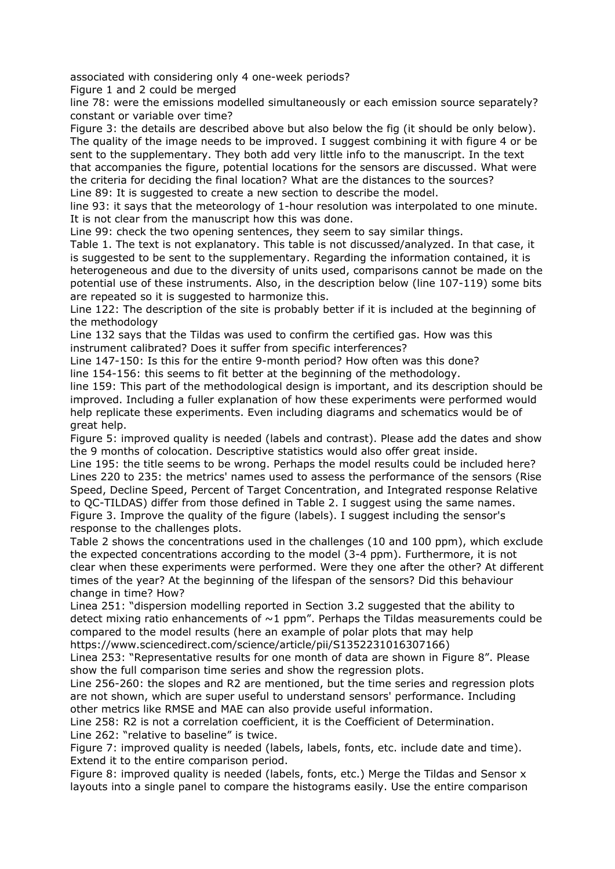associated with considering only 4 one-week periods?

Figure 1 and 2 could be merged

line 78: were the emissions modelled simultaneously or each emission source separately? constant or variable over time?

Figure 3: the details are described above but also below the fig (it should be only below). The quality of the image needs to be improved. I suggest combining it with figure 4 or be sent to the supplementary. They both add very little info to the manuscript. In the text that accompanies the figure, potential locations for the sensors are discussed. What were the criteria for deciding the final location? What are the distances to the sources? Line 89: It is suggested to create a new section to describe the model.

line 93: it says that the meteorology of 1-hour resolution was interpolated to one minute. It is not clear from the manuscript how this was done.

Line 99: check the two opening sentences, they seem to say similar things.

Table 1. The text is not explanatory. This table is not discussed/analyzed. In that case, it is suggested to be sent to the supplementary. Regarding the information contained, it is heterogeneous and due to the diversity of units used, comparisons cannot be made on the potential use of these instruments. Also, in the description below (line 107-119) some bits are repeated so it is suggested to harmonize this.

Line 122: The description of the site is probably better if it is included at the beginning of the methodology

Line 132 says that the Tildas was used to confirm the certified gas. How was this instrument calibrated? Does it suffer from specific interferences?

Line 147-150: Is this for the entire 9-month period? How often was this done?

line 154-156: this seems to fit better at the beginning of the methodology.

line 159: This part of the methodological design is important, and its description should be improved. Including a fuller explanation of how these experiments were performed would help replicate these experiments. Even including diagrams and schematics would be of great help.

Figure 5: improved quality is needed (labels and contrast). Please add the dates and show the 9 months of colocation. Descriptive statistics would also offer great inside.

Line 195: the title seems to be wrong. Perhaps the model results could be included here? Lines 220 to 235: the metrics' names used to assess the performance of the sensors (Rise Speed, Decline Speed, Percent of Target Concentration, and Integrated response Relative to QC-TILDAS) differ from those defined in Table 2. I suggest using the same names. Figure 3. Improve the quality of the figure (labels). I suggest including the sensor's response to the challenges plots.

Table 2 shows the concentrations used in the challenges (10 and 100 ppm), which exclude the expected concentrations according to the model (3-4 ppm). Furthermore, it is not clear when these experiments were performed. Were they one after the other? At different times of the year? At the beginning of the lifespan of the sensors? Did this behaviour change in time? How?

Linea 251: "dispersion modelling reported in Section 3.2 suggested that the ability to detect mixing ratio enhancements of  $\sim$ 1 ppm". Perhaps the Tildas measurements could be compared to the model results (here an example of polar plots that may help https://www.sciencedirect.com/science/article/pii/S1352231016307166)

Linea 253: "Representative results for one month of data are shown in Figure 8". Please show the full comparison time series and show the regression plots.

Line 256-260: the slopes and R2 are mentioned, but the time series and regression plots are not shown, which are super useful to understand sensors' performance. Including other metrics like RMSE and MAE can also provide useful information.

Line 258: R2 is not a correlation coefficient, it is the Coefficient of Determination. Line 262: "relative to baseline" is twice.

Figure 7: improved quality is needed (labels, labels, fonts, etc. include date and time). Extend it to the entire comparison period.

Figure 8: improved quality is needed (labels, fonts, etc.) Merge the Tildas and Sensor x layouts into a single panel to compare the histograms easily. Use the entire comparison